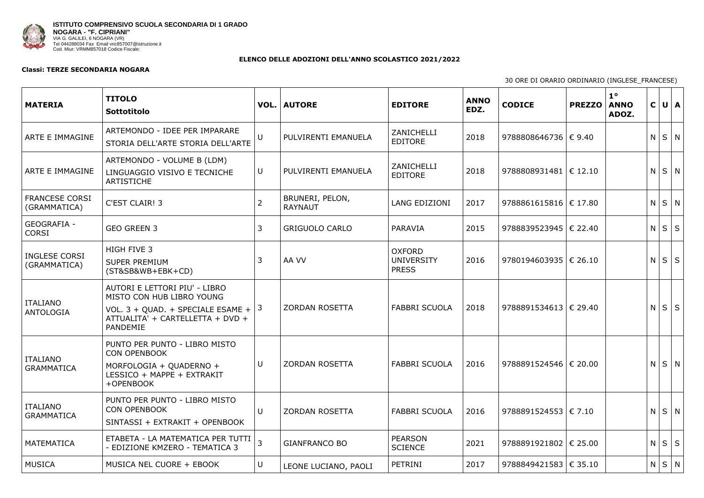

## **ELENCO DELLE ADOZIONI DELL'ANNO SCOLASTICO 2021/2022**

## **Classi: TERZE SECONDARIA NOGARA**

| <b>MATERIA</b>                        | <b>TITOLO</b><br>Sottotitolo                                                                                                                    |                 | <b>VOL.   AUTORE</b>              | <b>EDITORE</b>                                     | <b>ANNO</b><br>EDZ. | <b>CODICE</b>             | $1^{\circ}$<br><b>PREZZO</b><br><b>ANNO</b><br>ADOZ. | $\mathbf C$       | $U \mid A$ |  |
|---------------------------------------|-------------------------------------------------------------------------------------------------------------------------------------------------|-----------------|-----------------------------------|----------------------------------------------------|---------------------|---------------------------|------------------------------------------------------|-------------------|------------|--|
| ARTE E IMMAGINE                       | ARTEMONDO - IDEE PER IMPARARE<br>STORIA DELL'ARTE STORIA DELL'ARTE                                                                              | $\cup$          | PULVIRENTI EMANUELA               | ZANICHELLI<br><b>EDITORE</b>                       | 2018                | 9788808646736 € 9.40      |                                                      | N                 | $S \mid N$ |  |
| ARTE E IMMAGINE                       | ARTEMONDO - VOLUME B (LDM)<br>LINGUAGGIO VISIVO E TECNICHE<br><b>ARTISTICHE</b>                                                                 | U               | PULVIRENTI EMANUELA               | ZANICHELLI<br><b>EDITORE</b>                       | 2018                | 9788808931481  € 12.10    |                                                      | N                 | $S \mid N$ |  |
| <b>FRANCESE CORSI</b><br>(GRAMMATICA) | <b>C'EST CLAIR! 3</b>                                                                                                                           | $\overline{2}$  | BRUNERI, PELON,<br><b>RAYNAUT</b> | <b>LANG EDIZIONI</b>                               | 2017                | 9788861615816 $\in$ 17.80 |                                                      | $N$ $S$ $N$       |            |  |
| <b>GEOGRAFIA -</b><br><b>CORSI</b>    | <b>GEO GREEN 3</b>                                                                                                                              | 3               | <b>GRIGUOLO CARLO</b>             | PARAVIA                                            | 2015                | 9788839523945   € 22.40   |                                                      | $N \mid S \mid S$ |            |  |
| <b>INGLESE CORSI</b><br>(GRAMMATICA)  | HIGH FIVE 3<br><b>SUPER PREMIUM</b><br>(ST&SB&WB+EBK+CD)                                                                                        |                 | AA VV                             | <b>OXFORD</b><br><b>UNIVERSITY</b><br><b>PRESS</b> | 2016                | 9780194603935   € 26.10   |                                                      | N                 | $S \mid S$ |  |
| <b>ITALIANO</b><br>ANTOLOGIA          | AUTORI E LETTORI PIU' - LIBRO<br>MISTO CON HUB LIBRO YOUNG<br>VOL. 3 + QUAD. + SPECIALE ESAME +<br>ATTUALITA' + CARTELLETTA + DVD +<br>PANDEMIE | $\vert 3 \vert$ | <b>ZORDAN ROSETTA</b>             | <b>FABBRI SCUOLA</b>                               | 2018                | 9788891534613   € 29.40   |                                                      | N.                | $S \mid S$ |  |
| <b>ITALIANO</b><br><b>GRAMMATICA</b>  | PUNTO PER PUNTO - LIBRO MISTO<br><b>CON OPENBOOK</b><br>MORFOLOGIA + QUADERNO +<br>LESSICO + MAPPE + EXTRAKIT<br>+OPENBOOK                      | U               | <b>ZORDAN ROSETTA</b>             | <b>FABBRI SCUOLA</b>                               | 2016                | 9788891524546   € 20.00   |                                                      | N.                | S N        |  |
| <b>ITALIANO</b><br><b>GRAMMATICA</b>  | PUNTO PER PUNTO - LIBRO MISTO<br><b>CON OPENBOOK</b><br>SINTASSI + EXTRAKIT + OPENBOOK                                                          | U               | <b>ZORDAN ROSETTA</b>             | <b>FABBRI SCUOLA</b>                               | 2016                | 9788891524553   € 7.10    |                                                      | N                 | $S \mid N$ |  |
| MATEMATICA                            | ETABETA - LA MATEMATICA PER TUTTI<br>- EDIZIONE KMZERO - TEMATICA 3                                                                             |                 | <b>GIANFRANCO BO</b>              | <b>PEARSON</b><br><b>SCIENCE</b>                   | 2021                | 9788891921802   € 25.00   |                                                      | $N \mid S \mid S$ |            |  |
| <b>MUSICA</b>                         | MUSICA NEL CUORE + EBOOK                                                                                                                        | U               | LEONE LUCIANO, PAOLI              | PETRINI                                            | 2017                | 9788849421583 € 35.10     |                                                      | $N$ $ S N $       |            |  |

30 ORE DI ORARIO ORDINARIO (INGLESE\_FRANCESE)